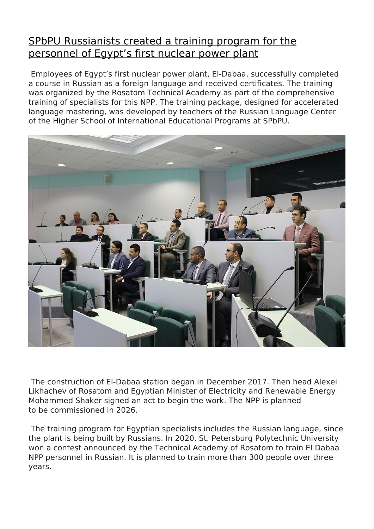## [SPbPU Russianists created a training program for the](http://english.spbstu.ru/media/news/education/spbpu-russianists-created-a-training-program-for-the-personnel-of-egypt-s-first-nuclear-power-plant/) [personnel of Egypt's first nuclear power plant](http://english.spbstu.ru/media/news/education/spbpu-russianists-created-a-training-program-for-the-personnel-of-egypt-s-first-nuclear-power-plant/)

 Employees of Egypt's first nuclear power plant, El-Dabaa, successfully completed a course in Russian as a foreign language and received certificates. The training was organized by the Rosatom Technical Academy as part of the comprehensive training of specialists for this NPP. The training package, designed for accelerated language mastering, was developed by teachers of the Russian Language Center of the Higher School of International Educational Programs at SPbPU.



 The construction of El-Dabaa station began in December 2017. Then head Alexei Likhachev of Rosatom and Egyptian Minister of Electricity and Renewable Energy Mohammed Shaker signed an act to begin the work. The NPP is planned to be commissioned in 2026.

 The training program for Egyptian specialists includes the Russian language, since the plant is being built by Russians. In 2020, St. Petersburg Polytechnic University won a contest announced by the Technical Academy of Rosatom to train El Dabaa NPP personnel in Russian. It is planned to train more than 300 people over three years.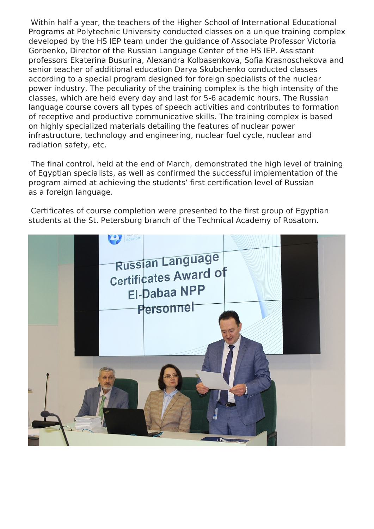Within half a year, the teachers of the Higher School of International Educational Programs at Polytechnic University conducted classes on a unique training complex developed by the HS IEP team under the guidance of Associate Professor Victoria Gorbenko, Director of the Russian Language Center of the HS IEP. Assistant professors Ekaterina Busurina, Alexandra Kolbasenkova, Sofia Krasnoschekova and senior teacher of additional education Darya Skubchenko conducted classes according to a special program designed for foreign specialists of the nuclear power industry. The peculiarity of the training complex is the high intensity of the classes, which are held every day and last for 5-6 academic hours. The Russian language course covers all types of speech activities and contributes to formation of receptive and productive communicative skills. The training complex is based on highly specialized materials detailing the features of nuclear power infrastructure, technology and engineering, nuclear fuel cycle, nuclear and radiation safety, etc.

 The final control, held at the end of March, demonstrated the high level of training of Egyptian specialists, as well as confirmed the successful implementation of the program aimed at achieving the students' first certification level of Russian as a foreign language.

 Certificates of course completion were presented to the first group of Egyptian students at the St. Petersburg branch of the Technical Academy of Rosatom.

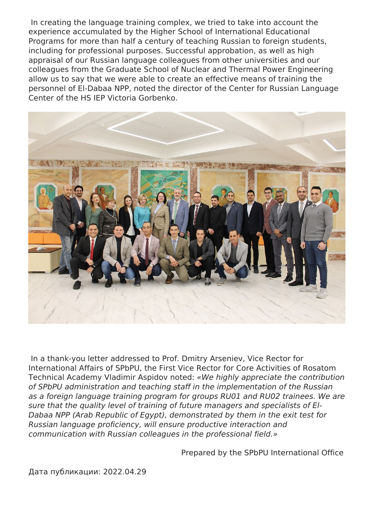In creating the language training complex, we tried to take into account the experience accumulated by the Higher School of International Educational Programs for more than half a century of teaching Russian to foreign students, including for professional purposes. Successful approbation, as well as high appraisal of our Russian language colleagues from other universities and our colleagues from the Graduate School of Nuclear and Thermal Power Engineering allow us to say that we were able to create an effective means of training the personnel of El-Dabaa NPP, noted the director of the Center for Russian Language Center of the HS IEP Victoria Gorbenko.



 In a thank-you letter addressed to Prof. Dmitry Arseniev, Vice Rector for International Affairs of SPbPU, the First Vice Rector for Core Activities of Rosatom Technical Academy Vladimir Aspidov noted: *«We highly appreciate the contribution of SPbPU administration and teaching staff in the implementation of the Russian as a foreign language training program for groups RU01 and RU02 trainees. We are sure that the quality level of training of future managers and specialists of El-Dabaa NPP (Arab Republic of Egypt), demonstrated by them in the exit test for Russian language proficiency, will ensure productive interaction and communication with Russian colleagues in the professional field.»*

Prepared by the SPbPU International Office

Дата публикации: 2022.04.29